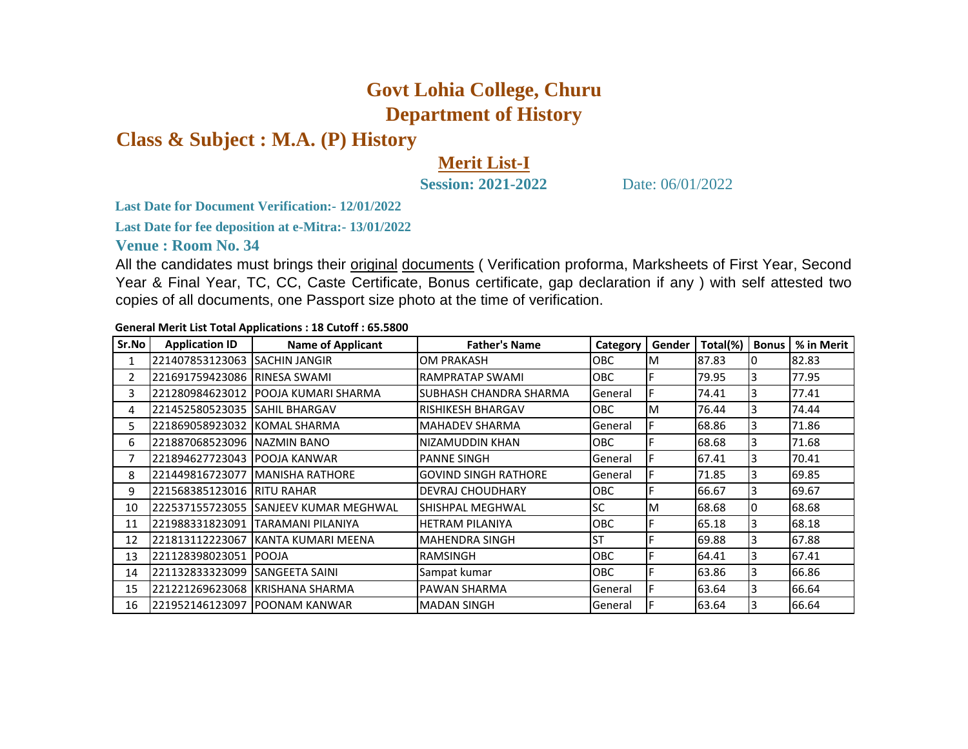## **Govt Lohia College, Churu Department of History**

**Class & Subject : M.A. (P) History**

## **Merit List-I**

**Session: 2021-2022** Date: 06/01/2022

**Last Date for Document Verification:- 12/01/2022**

**Last Date for fee deposition at e-Mitra:- 13/01/2022**

**Venue : Room No. 34** 

All the candidates must brings their original documents (Verification proforma, Marksheets of First Year, Second Year & Final Year, TC, CC, Caste Certificate, Bonus certificate, gap declaration if any ) with self attested two copies of all documents, one Passport size photo at the time of verification.

**General Merit List Total Applications : 18 Cutoff : 65.5800**

| Sr.No | <b>Application ID</b>          | <b>Name of Applicant</b>          | <b>Father's Name</b>        | Category   | Gender | Total(%) | <b>Bonus</b> | % in Merit |
|-------|--------------------------------|-----------------------------------|-----------------------------|------------|--------|----------|--------------|------------|
|       | 221407853123063                | <b>SACHIN JANGIR</b>              | <b>OM PRAKASH</b>           | <b>OBC</b> | ΙM     | 87.83    | Ю            | 82.83      |
| 2     | 221691759423086                | RINESA SWAMI                      | RAMPRATAP SWAMI             | OBC        |        | 79.95    | 3            | 77.95      |
| 3     | 221280984623012                | POOJA KUMARI SHARMA               | SUBHASH CHANDRA SHARMA      | General    |        | 74.41    | 3            | 77.41      |
| 4     | 221452580523035                | <b>SAHIL BHARGAV</b>              | RISHIKESH BHARGAV           | OBC        | M      | 76.44    | 3            | 74.44      |
| 5.    | 221869058923032                | KOMAL SHARMA                      | <b>MAHADEV SHARMA</b>       | General    |        | 68.86    | 3            | 71.86      |
| 6     | 221887068523096 NAZMIN BANO    |                                   | NIZAMUDDIN KHAN             | OBC        |        | 68.68    | 3            | 71.68      |
| 7     | 1221894627723043 IPOOJA KANWAR |                                   | <b>PANNE SINGH</b>          | General    |        | 67.41    | 3            | 70.41      |
| 8     |                                | 221449816723077   MANISHA RATHORE | <b>GOVIND SINGH RATHORE</b> | General    |        | 71.85    | 3            | 69.85      |
| 9     | 221568385123016                | <b>RITU RAHAR</b>                 | <b>DEVRAJ CHOUDHARY</b>     | <b>OBC</b> |        | 66.67    | 3            | 69.67      |
| 10    | 222537155723055                | <b>SANJEEV KUMAR MEGHWAL</b>      | SHISHPAL MEGHWAL            | SC         | M      | 68.68    | 10           | 68.68      |
| 11    | 221988331823091                | TARAMANI PILANIYA                 | <b>HETRAM PILANIYA</b>      | OBC        |        | 65.18    | 3            | 68.18      |
| 12    | 221813112223067                | KANTA KUMARI MEENA                | <b>MAHENDRA SINGH</b>       | <b>ST</b>  |        | 69.88    | 3            | 67.88      |
| 13    | 221128398023051                | <b>POOJA</b>                      | <b>RAMSINGH</b>             | OBC        |        | 64.41    | 3            | 67.41      |
| 14    | 221132833323099                | <b>ISANGEETA SAINI</b>            | Sampat kumar                | <b>OBC</b> |        | 63.86    | 3            | 66.86      |
| 15    | 221221269623068                | <b>KRISHANA SHARMA</b>            | PAWAN SHARMA                | General    |        | 63.64    | 3            | 66.64      |
| 16    |                                | 1221952146123097 IPOONAM KANWAR   | <b>MADAN SINGH</b>          | General    |        | 63.64    | 3            | 66.64      |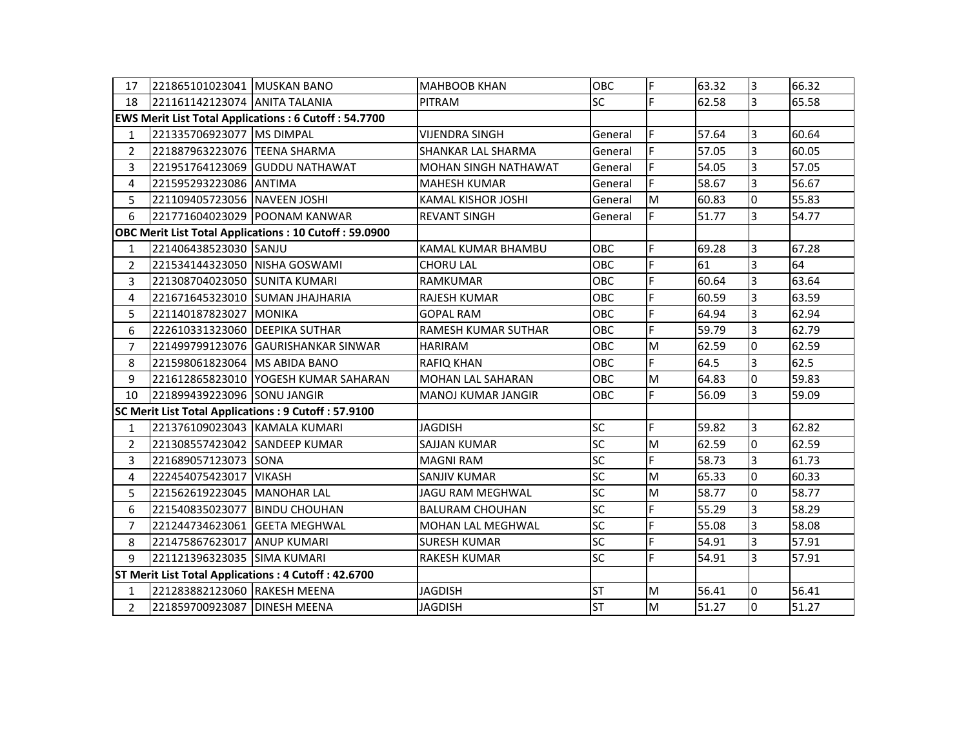| 17                                                           | 221865101023041 MUSKAN BANO    |                                                             | <b>MAHBOOB KHAN</b>       | OBC        | IF. | 63.32 | $\overline{3}$          | 66.32 |
|--------------------------------------------------------------|--------------------------------|-------------------------------------------------------------|---------------------------|------------|-----|-------|-------------------------|-------|
| 18                                                           | 221161142123074 ANITA TALANIA  |                                                             | <b>PITRAM</b>             | <b>SC</b>  | F   | 62.58 | $\overline{3}$          | 65.58 |
|                                                              |                                | <b>EWS Merit List Total Applications: 6 Cutoff: 54.7700</b> |                           |            |     |       |                         |       |
| 1                                                            | 221335706923077 MS DIMPAL      |                                                             | <b>VIJENDRA SINGH</b>     | General    | IF. | 57.64 | 3                       | 60.64 |
| $\overline{2}$                                               | 221887963223076 TEENA SHARMA   |                                                             | <b>SHANKAR LAL SHARMA</b> | General    | IF. | 57.05 | $\overline{3}$          | 60.05 |
| 3                                                            |                                | 221951764123069 GUDDU NATHAWAT                              | MOHAN SINGH NATHAWAT      | General    | IF. | 54.05 | 3                       | 57.05 |
| 4                                                            | 221595293223086 ANTIMA         |                                                             | <b>MAHESH KUMAR</b>       | General    | IF. | 58.67 | $\overline{3}$          | 56.67 |
| 5                                                            | 221109405723056 NAVEEN JOSHI   |                                                             | <b>KAMAL KISHOR JOSHI</b> | General    | M   | 60.83 | $\overline{0}$          | 55.83 |
| 6                                                            |                                | 221771604023029 POONAM KANWAR                               | <b>REVANT SINGH</b>       | General    | F   | 51.77 | $\overline{3}$          | 54.77 |
| <b>OBC Merit List Total Applications: 10 Cutoff: 59.0900</b> |                                |                                                             |                           |            |     |       |                         |       |
| $\mathbf{1}$                                                 | 221406438523030 SANJU          |                                                             | <b>KAMAL KUMAR BHAMBU</b> | <b>OBC</b> | F   | 69.28 | 3                       | 67.28 |
| 2                                                            | 221534144323050 NISHA GOSWAMI  |                                                             | <b>CHORU LAL</b>          | OBC        | F   | 61    | 3                       | 64    |
| 3                                                            | 221308704023050 SUNITA KUMARI  |                                                             | <b>RAMKUMAR</b>           | <b>OBC</b> | F   | 60.64 | 3                       | 63.64 |
| 4                                                            |                                | 221671645323010 SUMAN JHAJHARIA                             | <b>RAJESH KUMAR</b>       | OBC        | F   | 60.59 | 3                       | 63.59 |
| 5                                                            | 221140187823027 MONIKA         |                                                             | <b>GOPAL RAM</b>          | OBC        | F   | 64.94 | 3                       | 62.94 |
| 6                                                            | 222610331323060 DEEPIKA SUTHAR |                                                             | RAMESH KUMAR SUTHAR       | <b>OBC</b> | F   | 59.79 | $\overline{\mathbf{3}}$ | 62.79 |
| $\overline{7}$                                               |                                | 221499799123076 GAURISHANKAR SINWAR                         | <b>HARIRAM</b>            | OBC        | M   | 62.59 | $\overline{0}$          | 62.59 |
| 8                                                            | 221598061823064 MS ABIDA BANO  |                                                             | <b>RAFIQ KHAN</b>         | OBC        | F   | 64.5  | 3                       | 62.5  |
| 9                                                            |                                | 221612865823010 YOGESH KUMAR SAHARAN                        | MOHAN LAL SAHARAN         | OBC        | M   | 64.83 | 0                       | 59.83 |
| 10                                                           | 221899439223096 SONU JANGIR    |                                                             | MANOJ KUMAR JANGIR        | <b>OBC</b> | IF. | 56.09 | 3                       | 59.09 |
| SC Merit List Total Applications : 9 Cutoff : 57.9100        |                                |                                                             |                           |            |     |       |                         |       |
| $\mathbf{1}$                                                 | 221376109023043 KAMALA KUMARI  |                                                             | <b>JAGDISH</b>            | <b>SC</b>  | lF. | 59.82 | $\overline{3}$          | 62.82 |
| $\overline{2}$                                               | 221308557423042 SANDEEP KUMAR  |                                                             | SAJJAN KUMAR              | <b>SC</b>  | M   | 62.59 | 0                       | 62.59 |
| 3                                                            | 221689057123073 SONA           |                                                             | <b>MAGNI RAM</b>          | <b>SC</b>  | F   | 58.73 | 3                       | 61.73 |
| 4                                                            | 222454075423017 VIKASH         |                                                             | SANJIV KUMAR              | SC         | M   | 65.33 | l0                      | 60.33 |
| 5                                                            | 221562619223045 MANOHAR LAL    |                                                             | <b>JAGU RAM MEGHWAL</b>   | <b>SC</b>  | M   | 58.77 | $\overline{0}$          | 58.77 |
| 6                                                            | 221540835023077 BINDU CHOUHAN  |                                                             | <b>BALURAM CHOUHAN</b>    | SC         | F   | 55.29 | $\overline{\mathbf{3}}$ | 58.29 |
| $\overline{7}$                                               | 221244734623061 GEETA MEGHWAL  |                                                             | MOHAN LAL MEGHWAL         | <b>SC</b>  | F   | 55.08 | $\overline{\mathbf{3}}$ | 58.08 |
| 8                                                            | 221475867623017 ANUP KUMARI    |                                                             | <b>SURESH KUMAR</b>       | <b>SC</b>  | F   | 54.91 | $\overline{3}$          | 57.91 |
| 9                                                            | 221121396323035 SIMA KUMARI    |                                                             | <b>RAKESH KUMAR</b>       | <b>SC</b>  | F   | 54.91 | $\overline{3}$          | 57.91 |
| ST Merit List Total Applications: 4 Cutoff: 42.6700          |                                |                                                             |                           |            |     |       |                         |       |
| $\mathbf{1}$                                                 | 221283882123060 RAKESH MEENA   |                                                             | <b>JAGDISH</b>            | <b>ST</b>  | M   | 56.41 | $\overline{0}$          | 56.41 |
| $\overline{2}$                                               | 221859700923087 DINESH MEENA   |                                                             | <b>JAGDISH</b>            | <b>ST</b>  | M   | 51.27 | $\overline{0}$          | 51.27 |